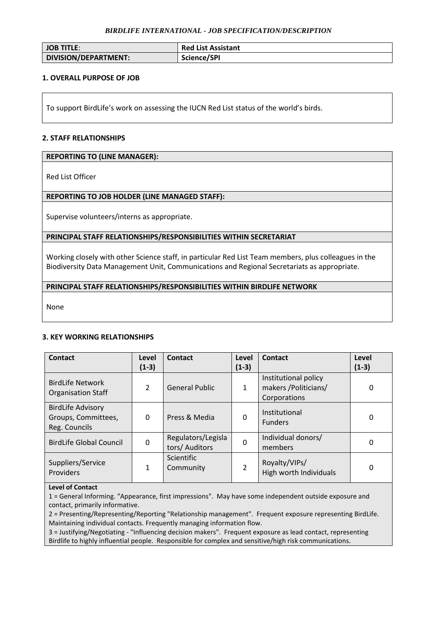#### *BIRDLIFE INTERNATIONAL - JOB SPECIFICATION/DESCRIPTION*

| <b>JOB TITLE:</b>    | <b>Red List Assistant</b> |
|----------------------|---------------------------|
| DIVISION/DEPARTMENT: | Science/SPI               |

# **1. OVERALL PURPOSE OF JOB**

To support BirdLife's work on assessing the IUCN Red List status of the world's birds.

#### **2. STAFF RELATIONSHIPS**

#### **REPORTING TO (LINE MANAGER):**

Red List Officer

# **REPORTING TO JOB HOLDER (LINE MANAGED STAFF):**

Supervise volunteers/interns as appropriate.

# **PRINCIPAL STAFF RELATIONSHIPS/RESPONSIBILITIES WITHIN SECRETARIAT**

Working closely with other Science staff, in particular Red List Team members, plus colleagues in the Biodiversity Data Management Unit, Communications and Regional Secretariats as appropriate.

# **PRINCIPAL STAFF RELATIONSHIPS/RESPONSIBILITIES WITHIN BIRDLIFE NETWORK**

None

# **3. KEY WORKING RELATIONSHIPS**

| Contact                                                          | Level<br>$(1-3)$ | Contact                              | Level<br>$(1-3)$ | Contact                                                       | Level<br>$(1-3)$ |
|------------------------------------------------------------------|------------------|--------------------------------------|------------------|---------------------------------------------------------------|------------------|
| <b>BirdLife Network</b><br><b>Organisation Staff</b>             | $\mathcal{P}$    | <b>General Public</b>                | $\mathbf{1}$     | Institutional policy<br>makers / Politicians/<br>Corporations | 0                |
| <b>BirdLife Advisory</b><br>Groups, Committees,<br>Reg. Councils | 0                | Press & Media                        | 0                | Institutional<br><b>Funders</b>                               | 0                |
| <b>BirdLife Global Council</b>                                   | 0                | Regulators/Legisla<br>tors/ Auditors | $\Omega$         | Individual donors/<br>members                                 | 0                |
| Suppliers/Service<br>Providers                                   | 1                | Scientific<br>Community              | $\mathcal{P}$    | Royalty/VIPs/<br>High worth Individuals                       | 0                |

# **Level of Contact**

1 = General Informing. "Appearance, first impressions". May have some independent outside exposure and contact, primarily informative.

2 = Presenting/Representing/Reporting "Relationship management". Frequent exposure representing BirdLife. Maintaining individual contacts. Frequently managing information flow.

3 = Justifying/Negotiating - "Influencing decision makers". Frequent exposure as lead contact, representing Birdlife to highly influential people. Responsible for complex and sensitive/high risk communications.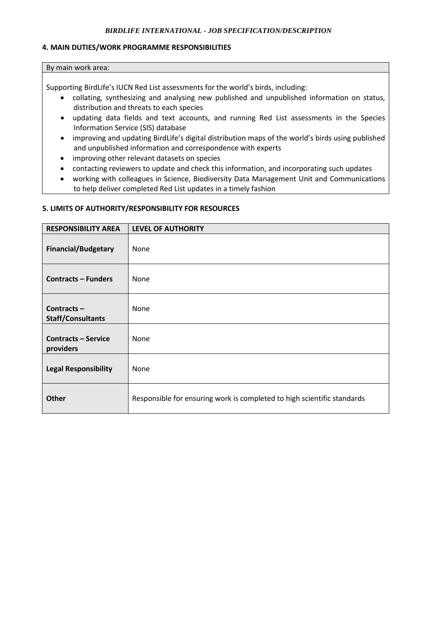# *BIRDLIFE INTERNATIONAL - JOB SPECIFICATION/DESCRIPTION*

#### **4. MAIN DUTIES/WORK PROGRAMME RESPONSIBILITIES**

#### By main work area:

Supporting BirdLife's IUCN Red List assessments for the world's birds, including:

- collating, synthesizing and analysing new published and unpublished information on status, distribution and threats to each species
- updating data fields and text accounts, and running Red List assessments in the Species Information Service (SIS) database
- improving and updating BirdLife's digital distribution maps of the world's birds using published and unpublished information and correspondence with experts
- improving other relevant datasets on species
- contacting reviewers to update and check this information, and incorporating such updates
- working with colleagues in Science, Biodiversity Data Management Unit and Communications to help deliver completed Red List updates in a timely fashion

# **5. LIMITS OF AUTHORITY/RESPONSIBILITY FOR RESOURCES**

| <b>RESPONSIBILITY AREA</b>                | <b>LEVEL OF AUTHORITY</b>                                               |
|-------------------------------------------|-------------------------------------------------------------------------|
| <b>Financial/Budgetary</b>                | None                                                                    |
| <b>Contracts – Funders</b>                | <b>None</b>                                                             |
| Contracts $-$<br><b>Staff/Consultants</b> | None                                                                    |
| <b>Contracts - Service</b><br>providers   | None                                                                    |
| <b>Legal Responsibility</b>               | None                                                                    |
| <b>Other</b>                              | Responsible for ensuring work is completed to high scientific standards |